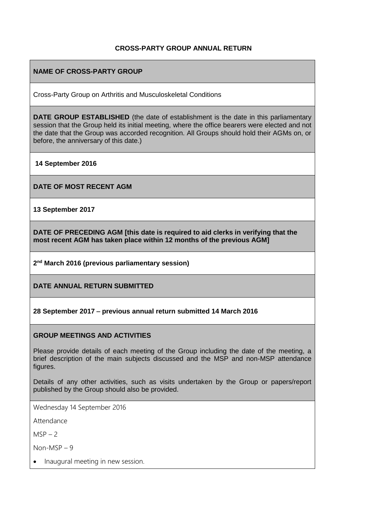#### **CROSS-PARTY GROUP ANNUAL RETURN**

#### **NAME OF CROSS-PARTY GROUP**

Cross-Party Group on Arthritis and Musculoskeletal Conditions

**DATE GROUP ESTABLISHED** (the date of establishment is the date in this parliamentary session that the Group held its initial meeting, where the office bearers were elected and not the date that the Group was accorded recognition. All Groups should hold their AGMs on, or before, the anniversary of this date.)

**14 September 2016**

**DATE OF MOST RECENT AGM**

**13 September 2017**

**DATE OF PRECEDING AGM [this date is required to aid clerks in verifying that the most recent AGM has taken place within 12 months of the previous AGM]**

**2 nd March 2016 (previous parliamentary session)**

**DATE ANNUAL RETURN SUBMITTED**

**28 September 2017** – **previous annual return submitted 14 March 2016**

#### **GROUP MEETINGS AND ACTIVITIES**

Please provide details of each meeting of the Group including the date of the meeting, a brief description of the main subjects discussed and the MSP and non-MSP attendance figures.

Details of any other activities, such as visits undertaken by the Group or papers/report published by the Group should also be provided.

Wednesday 14 September 2016

Attendance

 $MSP - 2$ 

Non-MSP – 9

Inaugural meeting in new session.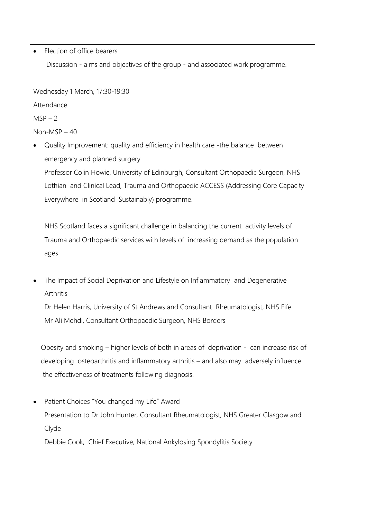Election of office bearers

Discussion - aims and objectives of the group - and associated work programme.

Wednesday 1 March, 17:30-19:30

Attendance

 $MSP - 2$ 

Non-MSP – 40

 Quality Improvement: quality and efficiency in health care -the balance between emergency and planned surgery

Professor Colin Howie, University of Edinburgh, Consultant Orthopaedic Surgeon, NHS Lothian and Clinical Lead, Trauma and Orthopaedic ACCESS (Addressing Core Capacity Everywhere in Scotland Sustainably) programme.

NHS Scotland faces a significant challenge in balancing the current activity levels of Trauma and Orthopaedic services with levels of increasing demand as the population ages.

 The Impact of Social Deprivation and Lifestyle on Inflammatory and Degenerative Arthritis

Dr Helen Harris, University of St Andrews and Consultant Rheumatologist, NHS Fife Mr Ali Mehdi, Consultant Orthopaedic Surgeon, NHS Borders

 Obesity and smoking – higher levels of both in areas of deprivation - can increase risk of developing osteoarthritis and inflammatory arthritis – and also may adversely influence the effectiveness of treatments following diagnosis.

 Patient Choices "You changed my Life" Award Presentation to Dr John Hunter, Consultant Rheumatologist, NHS Greater Glasgow and Clyde

Debbie Cook, Chief Executive, National Ankylosing Spondylitis Society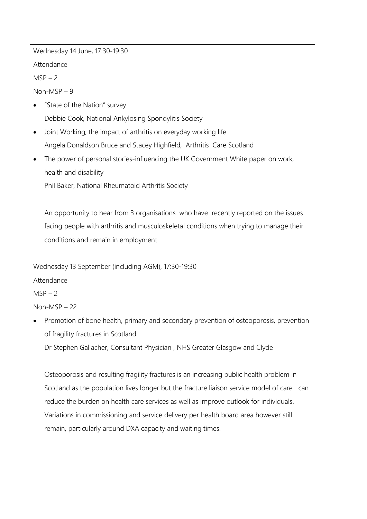Wednesday 14 June, 17:30-19:30

Attendance

 $MSP - 2$ 

Non-MSP – 9

- "State of the Nation" survey Debbie Cook, National Ankylosing Spondylitis Society
- Joint Working, the impact of arthritis on everyday working life Angela Donaldson Bruce and Stacey Highfield, Arthritis Care Scotland
- The power of personal stories-influencing the UK Government White paper on work, health and disability

Phil Baker, National Rheumatoid Arthritis Society

An opportunity to hear from 3 organisations who have recently reported on the issues facing people with arthritis and musculoskeletal conditions when trying to manage their conditions and remain in employment

Wednesday 13 September (including AGM), 17:30-19:30

Attendance

 $MSP - 2$ 

Non-MSP – 22

 Promotion of bone health, primary and secondary prevention of osteoporosis, prevention of fragility fractures in Scotland

Dr Stephen Gallacher, Consultant Physician , NHS Greater Glasgow and Clyde

Osteoporosis and resulting fragility fractures is an increasing public health problem in Scotland as the population lives longer but the fracture liaison service model of care can reduce the burden on health care services as well as improve outlook for individuals. Variations in commissioning and service delivery per health board area however still remain, particularly around DXA capacity and waiting times.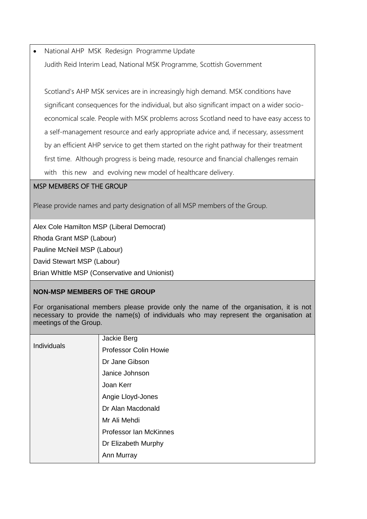National AHP MSK Redesign Programme Update Judith Reid Interim Lead, National MSK Programme, Scottish Government

Scotland's AHP MSK services are in increasingly high demand. MSK conditions have significant consequences for the individual, but also significant impact on a wider socioeconomical scale. People with MSK problems across Scotland need to have easy access to a self-management resource and early appropriate advice and, if necessary, assessment by an efficient AHP service to get them started on the right pathway for their treatment first time. Although progress is being made, resource and financial challenges remain with this new and evolving new model of healthcare delivery.

### MSP MEMBERS OF THE GROUP

Please provide names and party designation of all MSP members of the Group.

Alex Cole Hamilton MSP (Liberal Democrat)

Rhoda Grant MSP (Labour)

Pauline McNeil MSP (Labour)

David Stewart MSP (Labour)

Brian Whittle MSP (Conservative and Unionist)

### **NON-MSP MEMBERS OF THE GROUP**

For organisational members please provide only the name of the organisation, it is not necessary to provide the name(s) of individuals who may represent the organisation at meetings of the Group.

| <b>Individuals</b> | Jackie Berg                  |
|--------------------|------------------------------|
|                    | <b>Professor Colin Howie</b> |
|                    | Dr Jane Gibson               |
|                    | Janice Johnson               |
|                    | Joan Kerr                    |
|                    | Angie Lloyd-Jones            |
|                    | Dr Alan Macdonald            |
|                    | Mr Ali Mehdi                 |
|                    | Professor Ian McKinnes       |
|                    | Dr Elizabeth Murphy          |
|                    | Ann Murray                   |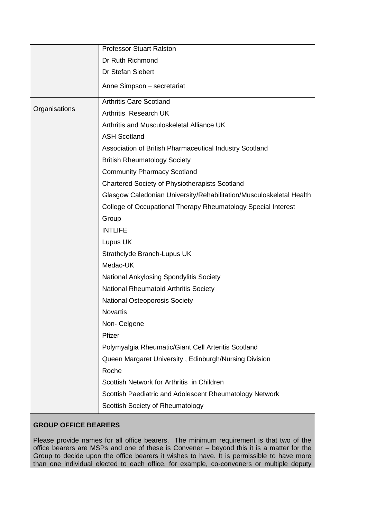|               | <b>Professor Stuart Ralston</b>                                     |
|---------------|---------------------------------------------------------------------|
|               | Dr Ruth Richmond                                                    |
|               | Dr Stefan Siebert                                                   |
|               | Anne Simpson - secretariat                                          |
| Organisations | <b>Arthritis Care Scotland</b>                                      |
|               | <b>Arthritis Research UK</b>                                        |
|               | Arthritis and Musculoskeletal Alliance UK                           |
|               | <b>ASH Scotland</b>                                                 |
|               | Association of British Pharmaceutical Industry Scotland             |
|               | <b>British Rheumatology Society</b>                                 |
|               | <b>Community Pharmacy Scotland</b>                                  |
|               | <b>Chartered Society of Physiotherapists Scotland</b>               |
|               | Glasgow Caledonian University/Rehabilitation/Musculoskeletal Health |
|               | College of Occupational Therapy Rheumatology Special Interest       |
|               | Group                                                               |
|               | <b>INTLIFE</b>                                                      |
|               | Lupus UK                                                            |
|               | Strathclyde Branch-Lupus UK                                         |
|               | Medac-UK                                                            |
|               | National Ankylosing Spondylitis Society                             |
|               | <b>National Rheumatoid Arthritis Society</b>                        |
|               | National Osteoporosis Society                                       |
|               | <b>Novartis</b>                                                     |
|               | Non-Celgene                                                         |
|               | Pfizer                                                              |
|               | Polymyalgia Rheumatic/Giant Cell Arteritis Scotland                 |
|               | Queen Margaret University, Edinburgh/Nursing Division               |
|               | Roche                                                               |
|               | Scottish Network for Arthritis in Children                          |
|               | Scottish Paediatric and Adolescent Rheumatology Network             |
|               | Scottish Society of Rheumatology                                    |

# **GROUP OFFICE BEARERS**

Please provide names for all office bearers. The minimum requirement is that two of the office bearers are MSPs and one of these is Convener – beyond this it is a matter for the Group to decide upon the office bearers it wishes to have. It is permissible to have more than one individual elected to each office, for example, co-conveners or multiple deputy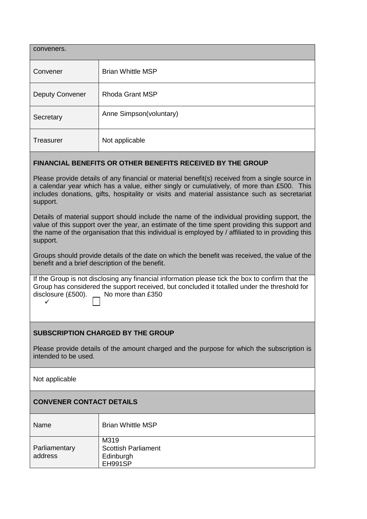| conveners.               |  |  |
|--------------------------|--|--|
| <b>Brian Whittle MSP</b> |  |  |
| <b>Rhoda Grant MSP</b>   |  |  |
| Anne Simpson(voluntary)  |  |  |
| Not applicable           |  |  |
|                          |  |  |

### **FINANCIAL BENEFITS OR OTHER BENEFITS RECEIVED BY THE GROUP**

Please provide details of any financial or material benefit(s) received from a single source in a calendar year which has a value, either singly or cumulatively, of more than £500. This includes donations, gifts, hospitality or visits and material assistance such as secretariat support.

Details of material support should include the name of the individual providing support, the value of this support over the year, an estimate of the time spent providing this support and the name of the organisation that this individual is employed by / affiliated to in providing this support.

Groups should provide details of the date on which the benefit was received, the value of the benefit and a brief description of the benefit.

If the Group is not disclosing any financial information please tick the box to confirm that the Group has considered the support received, but concluded it totalled under the threshold for disclosure  $(E500)$ .  $\quad$  No more than £350  $\checkmark$ 

## **SUBSCRIPTION CHARGED BY THE GROUP**

Please provide details of the amount charged and the purpose for which the subscription is intended to be used.

Not applicable

### **CONVENER CONTACT DETAILS**

| Name                     | <b>Brian Whittle MSP</b>                                   |
|--------------------------|------------------------------------------------------------|
| Parliamentary<br>address | M319<br><b>Scottish Parliament</b><br>Edinburgh<br>EH991SP |